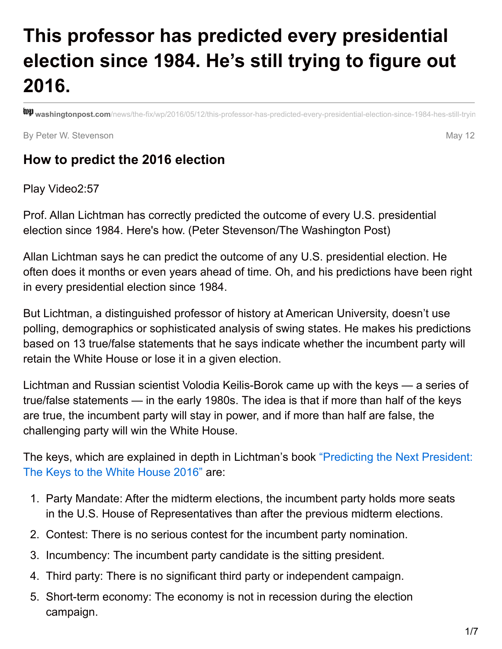# **This professor has predicted every presidential election since 1984. He's still trying to figure out 2016.**

**WP washingtonpost.com**/news/the-fix/wp/2016/05/12/this-professor-has-predicted-every-presidential-election-since-1984-hes-still-tryin

By Peter W. Stevenson May 12

# **How to predict the 2016 election**

Play Video2:57

Prof. Allan Lichtman has correctly predicted the outcome of every U.S. presidential election since 1984. Here's how. (Peter Stevenson/The Washington Post)

Allan Lichtman says he can predict the outcome of any U.S. presidential election. He often does it months or even years ahead of time. Oh, and his predictions have been right in every presidential election since 1984.

But Lichtman, a distinguished professor of history at American University, doesn't use polling, demographics or sophisticated analysis of swing states. He makes his predictions based on 13 true/false statements that he says indicate whether the incumbent party will retain the White House or lose it in a given election.

Lichtman and Russian scientist Volodia Keilis-Borok came up with the keys — a series of true/false statements — in the early 1980s. The idea is that if more than half of the keys are true, the incumbent party will stay in power, and if more than half are false, the challenging party will win the White House.

The keys, which are explained in depth in [Lichtman's](http://www.amazon.com/gp/product/1442269200/ref=as_li_qf_sp_asin_il_tl?ie=UTF8&camp=1789&creative=9325&creativeASIN=1442269200&linkCode=as2&tag=washpost-20&linkId=YTAOSN6PMGX7UWM6) book "Predicting the Next President: The Keys to the White House 2016" are:

- 1. Party Mandate: After the midterm elections, the incumbent party holds more seats in the U.S. House of Representatives than after the previous midterm elections.
- 2. Contest: There is no serious contest for the incumbent party nomination.
- 3. Incumbency: The incumbent party candidate is the sitting president.
- 4. Third party: There is no significant third party or independent campaign.
- 5. Short-term economy: The economy is not in recession during the election campaign.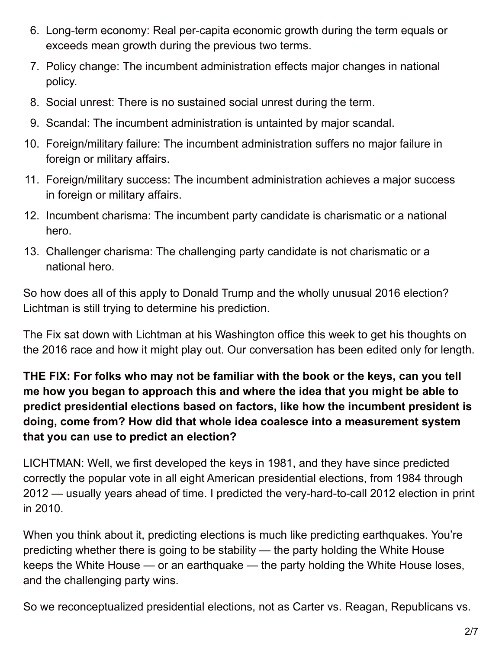- 6. Long-term economy: Real per-capita economic growth during the term equals or exceeds mean growth during the previous two terms.
- 7. Policy change: The incumbent administration effects major changes in national policy.
- 8. Social unrest: There is no sustained social unrest during the term.
- 9. Scandal: The incumbent administration is untainted by major scandal.
- 10. Foreign/military failure: The incumbent administration suffers no major failure in foreign or military affairs.
- 11. Foreign/military success: The incumbent administration achieves a major success in foreign or military affairs.
- 12. Incumbent charisma: The incumbent party candidate is charismatic or a national hero.
- 13. Challenger charisma: The challenging party candidate is not charismatic or a national hero.

So how does all of this apply to Donald Trump and the wholly unusual 2016 election? Lichtman is still trying to determine his prediction.

The Fix sat down with Lichtman at his Washington office this week to get his thoughts on the 2016 race and how it might play out. Our conversation has been edited only for length.

**THE FIX: For folks who may not be familiar with the book or the keys, can you tell me how you began to approach this and where the idea that you might be able to predict presidential elections based on factors, like how the incumbent president is doing, come from? How did that whole idea coalesce into a measurement system that you can use to predict an election?**

LICHTMAN: Well, we first developed the keys in 1981, and they have since predicted correctly the popular vote in all eight American presidential elections, from 1984 through 2012 — usually years ahead of time. I predicted the very-hard-to-call 2012 election in print in 2010.

When you think about it, predicting elections is much like predicting earthquakes. You're predicting whether there is going to be stability — the party holding the White House keeps the White House — or an earthquake — the party holding the White House loses, and the challenging party wins.

So we reconceptualized presidential elections, not as Carter vs. Reagan, Republicans vs.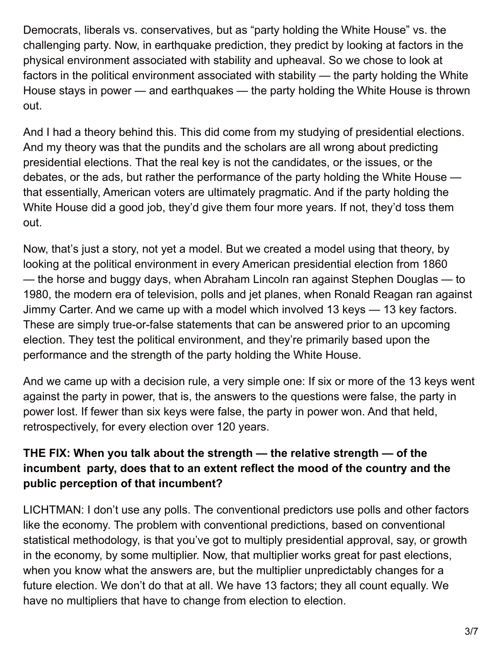Democrats, liberals vs. conservatives, but as "party holding the White House" vs. the challenging party. Now, in earthquake prediction, they predict by looking at factors in the physical environment associated with stability and upheaval. So we chose to look at factors in the political environment associated with stability — the party holding the White House stays in power — and earthquakes — the party holding the White House is thrown out.

And I had a theory behind this. This did come from my studying of presidential elections. And my theory was that the pundits and the scholars are all wrong about predicting presidential elections. That the real key is not the candidates, or the issues, or the debates, or the ads, but rather the performance of the party holding the White House that essentially, American voters are ultimately pragmatic. And if the party holding the White House did a good job, they'd give them four more years. If not, they'd toss them out.

Now, that's just a story, not yet a model. But we created a model using that theory, by looking at the political environment in every American presidential election from 1860 — the horse and buggy days, when Abraham Lincoln ran against Stephen Douglas — to 1980, the modern era of television, polls and jet planes, when Ronald Reagan ran against Jimmy Carter. And we came up with a model which involved 13 keys — 13 key factors. These are simply true-or-false statements that can be answered prior to an upcoming election. They test the political environment, and they're primarily based upon the performance and the strength of the party holding the White House.

And we came up with a decision rule, a very simple one: If six or more of the 13 keys went against the party in power, that is, the answers to the questions were false, the party in power lost. If fewer than six keys were false, the party in power won. And that held, retrospectively, for every election over 120 years.

# **THE FIX: When you talk about the strength — the relative strength — of the incumbent party, does that to an extent reflect the mood of the country and the public perception of that incumbent?**

LICHTMAN: I don't use any polls. The conventional predictors use polls and other factors like the economy. The problem with conventional predictions, based on conventional statistical methodology, is that you've got to multiply presidential approval, say, or growth in the economy, by some multiplier. Now, that multiplier works great for past elections, when you know what the answers are, but the multiplier unpredictably changes for a future election. We don't do that at all. We have 13 factors; they all count equally. We have no multipliers that have to change from election to election.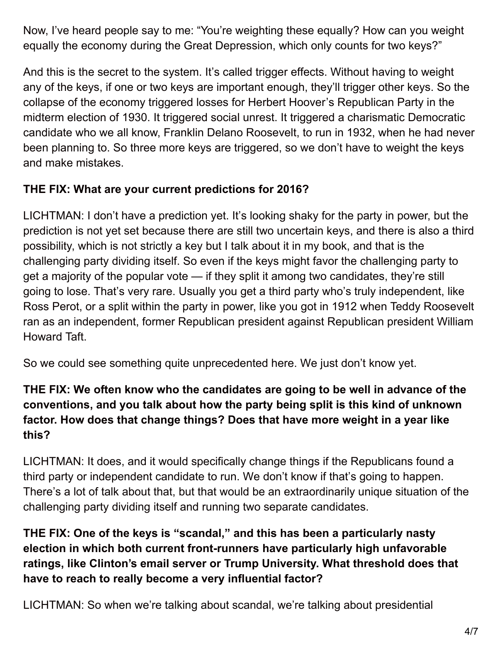Now, I've heard people say to me: "You're weighting these equally? How can you weight equally the economy during the Great Depression, which only counts for two keys?"

And this is the secret to the system. It's called trigger effects. Without having to weight any of the keys, if one or two keys are important enough, they'll trigger other keys. So the collapse of the economy triggered losses for Herbert Hoover's Republican Party in the midterm election of 1930. It triggered social unrest. It triggered a charismatic Democratic candidate who we all know, Franklin Delano Roosevelt, to run in 1932, when he had never been planning to. So three more keys are triggered, so we don't have to weight the keys and make mistakes.

#### **THE FIX: What are your current predictions for 2016?**

LICHTMAN: I don't have a prediction yet. It's looking shaky for the party in power, but the prediction is not yet set because there are still two uncertain keys, and there is also a third possibility, which is not strictly a key but I talk about it in my book, and that is the challenging party dividing itself. So even if the keys might favor the challenging party to get a majority of the popular vote — if they split it among two candidates, they're still going to lose. That's very rare. Usually you get a third party who's truly independent, like Ross Perot, or a split within the party in power, like you got in 1912 when Teddy Roosevelt ran as an independent, former Republican president against Republican president William Howard Taft.

So we could see something quite unprecedented here. We just don't know yet.

# **THE FIX: We often know who the candidates are going to be well in advance of the conventions, and you talk about how the party being split is this kind of unknown factor. How does that change things? Does that have more weight in a year like this?**

LICHTMAN: It does, and it would specifically change things if the Republicans found a third party or independent candidate to run. We don't know if that's going to happen. There's a lot of talk about that, but that would be an extraordinarily unique situation of the challenging party dividing itself and running two separate candidates.

# **THE FIX: One of the keys is "scandal," and this has been a particularly nasty election in which both current front-runners have particularly high unfavorable ratings, like Clinton's email server or Trump University. What threshold does that have to reach to really become a very influential factor?**

LICHTMAN: So when we're talking about scandal, we're talking about presidential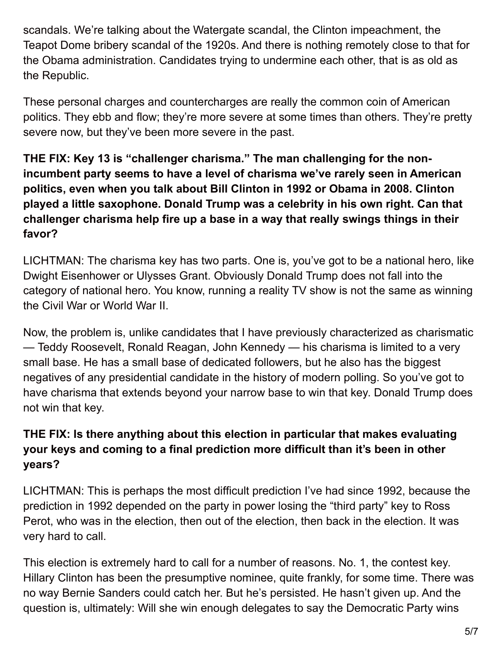scandals. We're talking about the Watergate scandal, the Clinton impeachment, the Teapot Dome bribery scandal of the 1920s. And there is nothing remotely close to that for the Obama administration. Candidates trying to undermine each other, that is as old as the Republic.

These personal charges and countercharges are really the common coin of American politics. They ebb and flow; they're more severe at some times than others. They're pretty severe now, but they've been more severe in the past.

**THE FIX: Key 13 is "challenger charisma." The man challenging for the nonincumbent party seems to have a level of charisma we've rarely seen in American politics, even when you talk about Bill Clinton in 1992 or Obama in 2008. Clinton played a little saxophone. Donald Trump was a celebrity in his own right. Can that challenger charisma help fire up a base in a way that really swings things in their favor?**

LICHTMAN: The charisma key has two parts. One is, you've got to be a national hero, like Dwight Eisenhower or Ulysses Grant. Obviously Donald Trump does not fall into the category of national hero. You know, running a reality TV show is not the same as winning the Civil War or World War II.

Now, the problem is, unlike candidates that I have previously characterized as charismatic — Teddy Roosevelt, Ronald Reagan, John Kennedy — his charisma is limited to a very small base. He has a small base of dedicated followers, but he also has the biggest negatives of any presidential candidate in the history of modern polling. So you've got to have charisma that extends beyond your narrow base to win that key. Donald Trump does not win that key.

# **THE FIX: Is there anything about this election in particular that makes evaluating your keys and coming to a final prediction more difficult than it's been in other years?**

LICHTMAN: This is perhaps the most difficult prediction I've had since 1992, because the prediction in 1992 depended on the party in power losing the "third party" key to Ross Perot, who was in the election, then out of the election, then back in the election. It was very hard to call.

This election is extremely hard to call for a number of reasons. No. 1, the contest key. Hillary Clinton has been the presumptive nominee, quite frankly, for some time. There was no way Bernie Sanders could catch her. But he's persisted. He hasn't given up. And the question is, ultimately: Will she win enough delegates to say the Democratic Party wins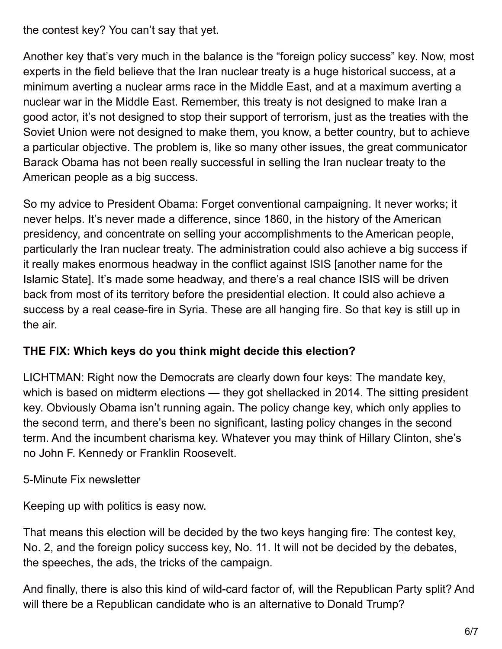#### the contest key? You can't say that yet.

Another key that's very much in the balance is the "foreign policy success" key. Now, most experts in the field believe that the Iran nuclear treaty is a huge historical success, at a minimum averting a nuclear arms race in the Middle East, and at a maximum averting a nuclear war in the Middle East. Remember, this treaty is not designed to make Iran a good actor, it's not designed to stop their support of terrorism, just as the treaties with the Soviet Union were not designed to make them, you know, a better country, but to achieve a particular objective. The problem is, like so many other issues, the great communicator Barack Obama has not been really successful in selling the Iran nuclear treaty to the American people as a big success.

So my advice to President Obama: Forget conventional campaigning. It never works; it never helps. It's never made a difference, since 1860, in the history of the American presidency, and concentrate on selling your accomplishments to the American people, particularly the Iran nuclear treaty. The administration could also achieve a big success if it really makes enormous headway in the conflict against ISIS [another name for the Islamic State]. It's made some headway, and there's a real chance ISIS will be driven back from most of its territory before the presidential election. It could also achieve a success by a real cease-fire in Syria. These are all hanging fire. So that key is still up in the air.

## **THE FIX: Which keys do you think might decide this election?**

LICHTMAN: Right now the Democrats are clearly down four keys: The mandate key, which is based on midterm elections — they got shellacked in 2014. The sitting president key. Obviously Obama isn't running again. The policy change key, which only applies to the second term, and there's been no significant, lasting policy changes in the second term. And the incumbent charisma key. Whatever you may think of Hillary Clinton, she's no John F. Kennedy or Franklin Roosevelt.

## 5-Minute Fix newsletter

Keeping up with politics is easy now.

That means this election will be decided by the two keys hanging fire: The contest key, No. 2, and the foreign policy success key, No. 11. It will not be decided by the debates, the speeches, the ads, the tricks of the campaign.

And finally, there is also this kind of wild-card factor of, will the Republican Party split? And will there be a Republican candidate who is an alternative to Donald Trump?